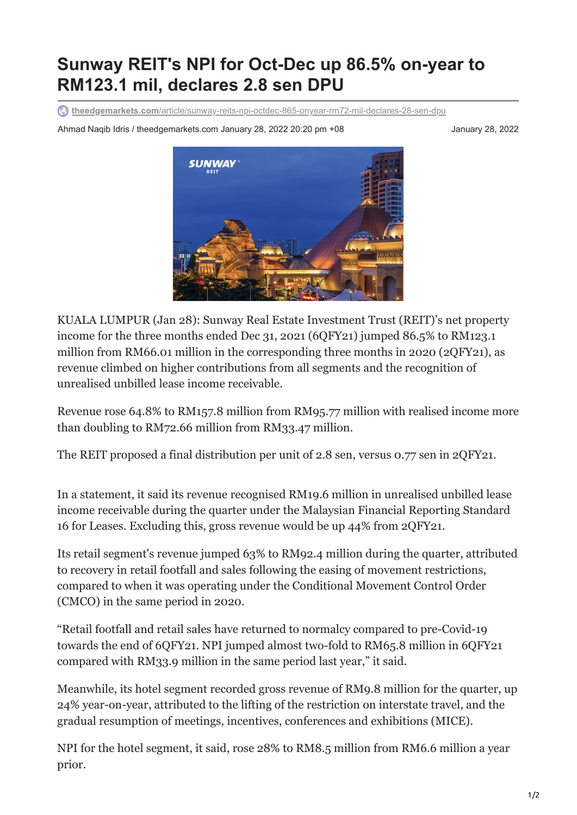## **Sunway REIT's NPI for Oct-Dec up 86.5% on-year to RM123.1 mil, declares 2.8 sen DPU**

**theedgemarkets.com**[/article/sunway-reits-npi-octdec-865-onyear-rm72-mil-declares-28-sen-dpu](https://www.theedgemarkets.com/article/sunway-reits-npi-octdec-865-onyear-rm72-mil-declares-28-sen-dpu)

Ahmad Naqib Idris / theedgemarkets.com January 28, 2022 20:20 pm +08 January 28, 2022



KUALA LUMPUR (Jan 28): Sunway Real Estate Investment Trust (REIT)'s net property income for the three months ended Dec 31, 2021 (6QFY21) jumped 86.5% to RM123.1 million from RM66.01 million in the corresponding three months in 2020 (2QFY21), as revenue climbed on higher contributions from all segments and the recognition of unrealised unbilled lease income receivable.

Revenue rose 64.8% to RM157.8 million from RM95.77 million with realised income more than doubling to RM72.66 million from RM33.47 million.

The REIT proposed a final distribution per unit of 2.8 sen, versus 0.77 sen in 2QFY21.

In a statement, it said its revenue recognised RM19.6 million in unrealised unbilled lease income receivable during the quarter under the Malaysian Financial Reporting Standard 16 for Leases. Excluding this, gross revenue would be up 44% from 2QFY21.

Its retail segment's revenue jumped 63% to RM92.4 million during the quarter, attributed to recovery in retail footfall and sales following the easing of movement restrictions, compared to when it was operating under the Conditional Movement Control Order (CMCO) in the same period in 2020.

"Retail footfall and retail sales have returned to normalcy compared to pre-Covid-19 towards the end of 6QFY21. NPI jumped almost two-fold to RM65.8 million in 6QFY21 compared with RM33.9 million in the same period last year," it said.

Meanwhile, its hotel segment recorded gross revenue of RM9.8 million for the quarter, up 24% year-on-year, attributed to the lifting of the restriction on interstate travel, and the gradual resumption of meetings, incentives, conferences and exhibitions (MICE).

NPI for the hotel segment, it said, rose 28% to RM8.5 million from RM6.6 million a year prior.